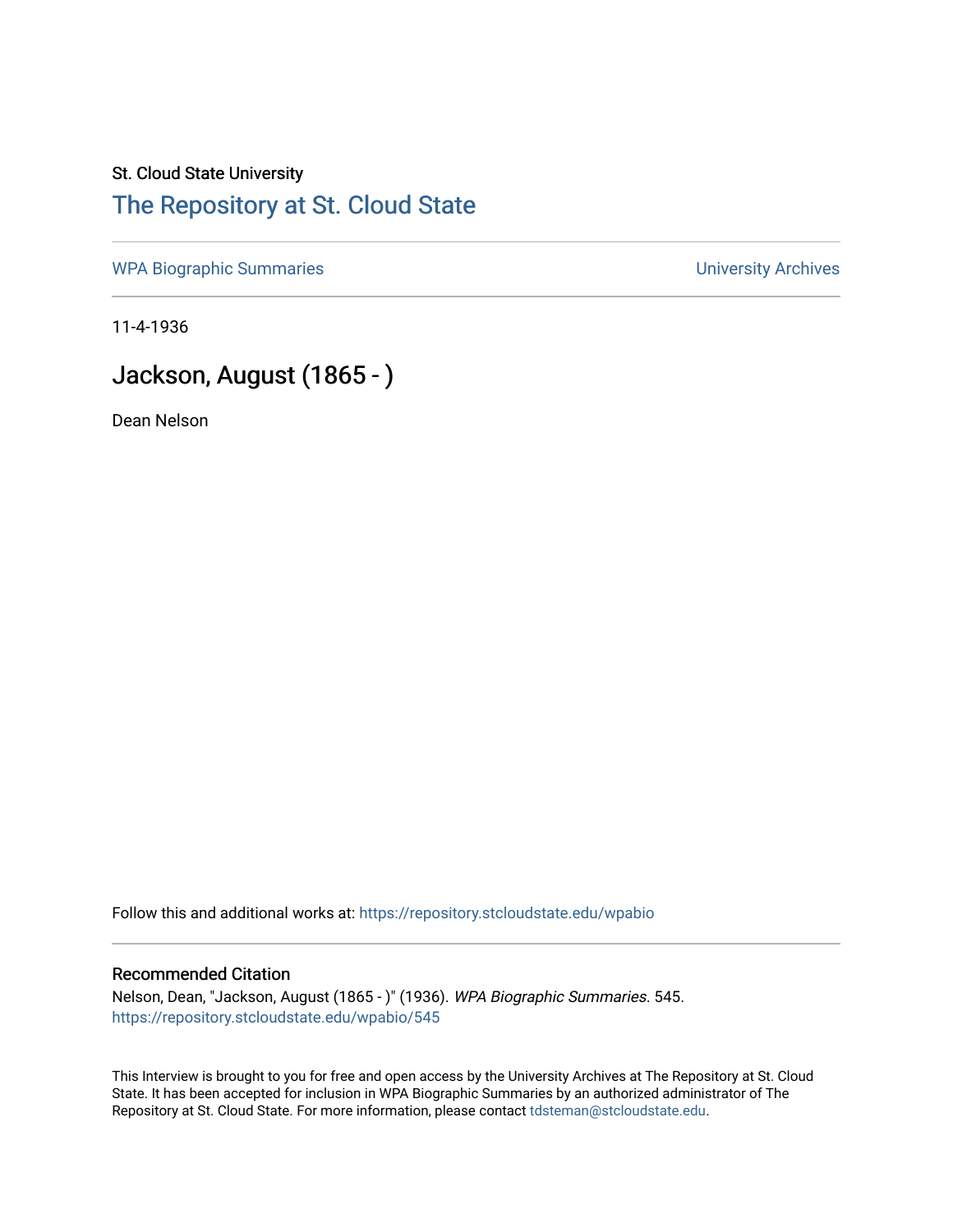### St. Cloud State University [The Repository at St. Cloud State](https://repository.stcloudstate.edu/)

[WPA Biographic Summaries](https://repository.stcloudstate.edu/wpabio) **WPA Biographic Summaries University Archives** 

11-4-1936

## Jackson, August (1865 - )

Dean Nelson

Follow this and additional works at: [https://repository.stcloudstate.edu/wpabio](https://repository.stcloudstate.edu/wpabio?utm_source=repository.stcloudstate.edu%2Fwpabio%2F545&utm_medium=PDF&utm_campaign=PDFCoverPages) 

#### Recommended Citation

Nelson, Dean, "Jackson, August (1865 - )" (1936). WPA Biographic Summaries. 545. [https://repository.stcloudstate.edu/wpabio/545](https://repository.stcloudstate.edu/wpabio/545?utm_source=repository.stcloudstate.edu%2Fwpabio%2F545&utm_medium=PDF&utm_campaign=PDFCoverPages) 

This Interview is brought to you for free and open access by the University Archives at The Repository at St. Cloud State. It has been accepted for inclusion in WPA Biographic Summaries by an authorized administrator of The Repository at St. Cloud State. For more information, please contact [tdsteman@stcloudstate.edu.](mailto:tdsteman@stcloudstate.edu)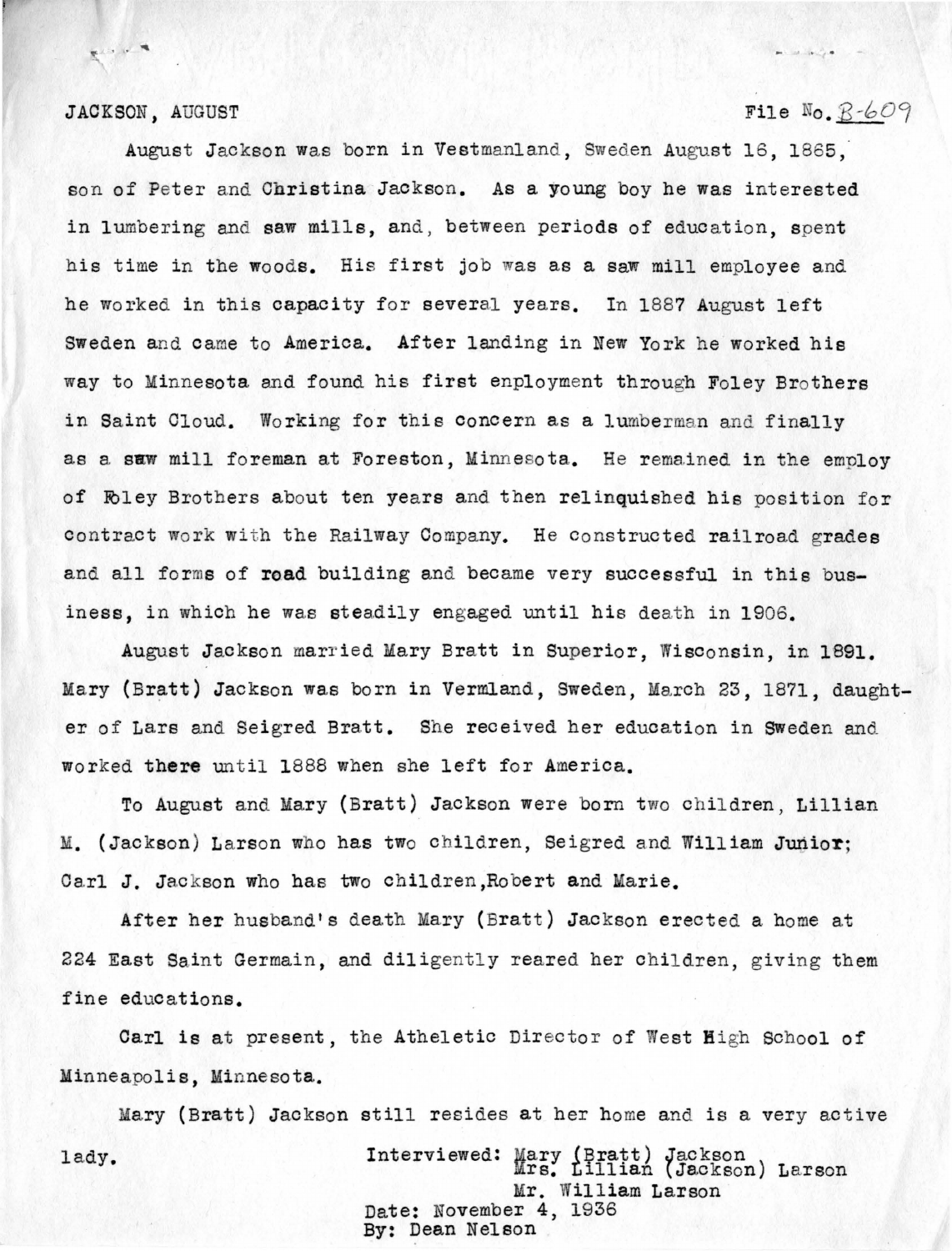### JACKSON, AUGUST

 $\mathbf{R}^{(1,1)}\times\mathbf{R}^{(2)}$ 

### File  $N_0$ ,  $B - 609$

**PALLACE** 

August Jackson was born in Vestmanland, Sweden August 16, 1865, son of Peter and Christina Jackson. As a young boy he was interested in lumbering and saw mills, and, between periods of education, spent his time in the woods. His first job was as a saw mill employee and he worked in this capacity for several years. In 1887 August left Sweden and came to America. After landing in New York he worked his way to Minnesota and found his first enployment through Foley Brothers in Saint Cloud. Working for this concern as a lumberman and finally as a saw mill foreman at Foreston, Minnesota. He remained in the employ of Fbley Brothers about ten years and then relinquished his position for contract work with the Railway Company. He constructed railroad grades and all forms of **road** building and became very successful in this business, in which he was steadily engaged until his death in 1906.

August Jackson married Mary Bratt in Superior, Wisconsin, in 1891. Mary (Bratt) Jackson was born in Vermland, Sweden, March 23, 1871, daughter of Lars and Seigred Bratt. She received her education in Sweden and worked there until 1888 when she left for America.

To August and Mary (Bratt) Jackson were born two children, Lillian M. (Jackson) Larson who has two children, Seigred and William Junior; Carl J. Jackson who has two children, Robert and Marie.

After her husband's death Mary (Bratt) Jackson erected a home at 224 East Saint Germain, and diligently reared her children, giving them fine educations.

Carl is at present, the Atheletic Director of West High School of Minneapolis, Minnesota.

Mary (Bratt) Jackson still resides at her home and is a very active lady. Interviewed: Mary (Bratt) Jackson<br>
Interviewed: Mrs. Lillian (Jackson) Larson Mr. William Larson

Date: November 4, 1936 By: Dean Nelson